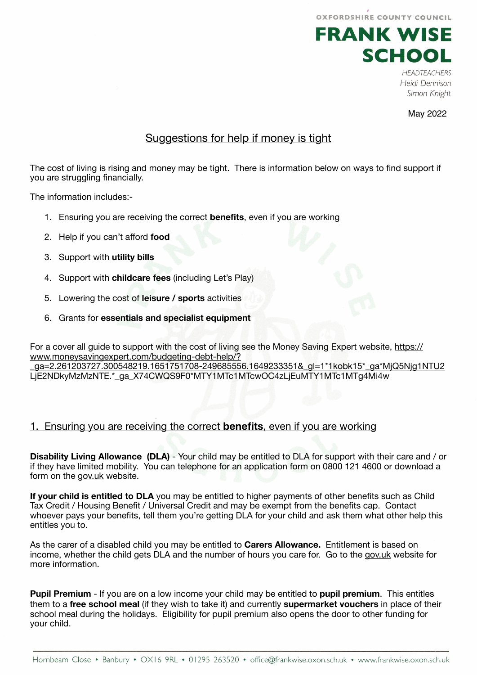OXFORDSHIRE COUNTY COUNCIL



**HEADTEACHERS** Heidi Dennison Simon Knight

May 2022

# Suggestions for help if money is tight

The cost of living is rising and money may be tight. There is information below on ways to find support if you are struggling financially.

The information includes:-

- 1. Ensuring you are receiving the correct **benefits**, even if you are working
- 2. Help if you can't afford **food**
- 3. Support with **utility bills**
- 4. Support with **childcare fees** (including Let's Play)
- 5. Lowering the cost of **leisure / sports** activities
- 6. Grants for **essentials and specialist equipment**

For a cover all guide to support with the cost of living see the Money Saving Expert website, [https://](https://www.moneysavingexpert.com/budgeting-debt-help/?_ga=2.261203727.300548219.1651751708-249685556.1649233351&_gl=1*1kobk15*_ga*MjQ5Njg1NTU2LjE2NDkyMzMzNTE.*_ga_X74CWQS9F0*MTY1MTc1MTcwOC4zLjEuMTY1MTc1MTg4Mi4w) [www.moneysavingexpert.com/budgeting-debt-help/?](https://www.moneysavingexpert.com/budgeting-debt-help/?_ga=2.261203727.300548219.1651751708-249685556.1649233351&_gl=1*1kobk15*_ga*MjQ5Njg1NTU2LjE2NDkyMzMzNTE.*_ga_X74CWQS9F0*MTY1MTc1MTcwOC4zLjEuMTY1MTc1MTg4Mi4w)

[\\_ga=2.261203727.300548219.1651751708-249685556.1649233351&\\_gl=1\\*1kobk15\\*\\_ga\\*MjQ5Njg1NTU2](https://www.moneysavingexpert.com/budgeting-debt-help/?_ga=2.261203727.300548219.1651751708-249685556.1649233351&_gl=1*1kobk15*_ga*MjQ5Njg1NTU2LjE2NDkyMzMzNTE.*_ga_X74CWQS9F0*MTY1MTc1MTcwOC4zLjEuMTY1MTc1MTg4Mi4w) LjE2NDkvMzMzNTE.\*\_ga\_X74CWQS9F0\*MTY1MTc1MTcwOC4zLjEuMTY1MTc1MTq4Mi4w

## 1. Ensuring you are receiving the correct **benefits**, even if you are working

**Disability Living Allowance (DLA)** - Your child may be entitled to DLA for support with their care and / or if they have limited mobility. You can telephone for an application form on 0800 121 4600 or download a form on the [gov.uk](http://gov.uk) website.

**If your child is entitled to DLA** you may be entitled to higher payments of other benefits such as Child Tax Credit / Housing Benefit / Universal Credit and may be exempt from the benefits cap. Contact whoever pays your benefits, tell them you're getting DLA for your child and ask them what other help this entitles you to.

As the carer of a disabled child you may be entitled to **Carers Allowance.** Entitlement is based on income, whether the child gets DLA and the number of hours you care for. Go to the [gov.uk](http://gov.uk) website for more information.

**Pupil Premium** - If you are on a low income your child may be entitled to **pupil premium**. This entitles them to a **free school meal** (if they wish to take it) and currently **supermarket vouchers** in place of their school meal during the holidays. Eligibility for pupil premium also opens the door to other funding for your child.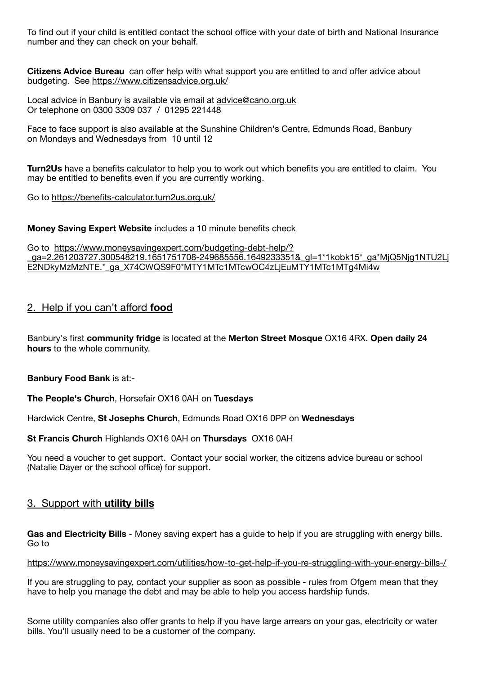To find out if your child is entitled contact the school office with your date of birth and National Insurance number and they can check on your behalf.

**Citizens Advice Bureau** can offer help with what support you are entitled to and offer advice about budgeting. See <https://www.citizensadvice.org.uk/>

Local advice in Banbury is available via email at [advice@cano.org.uk](mailto:advice@cano.org.uk) Or telephone on 0300 3309 037 / 01295 221448

Face to face support is also available at the Sunshine Children's Centre, Edmunds Road, Banbury on Mondays and Wednesdays from 10 until 12

**Turn2Us** have a benefits calculator to help you to work out which benefits you are entitled to claim. You may be entitled to benefits even if you are currently working.

Go to <https://benefits-calculator.turn2us.org.uk/>

**Money Saving Expert Website** includes a 10 minute benefits check

Go to [https://www.moneysavingexpert.com/budgeting-debt-help/?](https://www.moneysavingexpert.com/budgeting-debt-help/?_ga=2.261203727.300548219.1651751708-249685556.1649233351&_gl=1*1kobk15*_ga*MjQ5Njg1NTU2LjE2NDkyMzMzNTE.*_ga_X74CWQS9F0*MTY1MTc1MTcwOC4zLjEuMTY1MTc1MTg4Mi4w) [\\_ga=2.261203727.300548219.1651751708-249685556.1649233351&\\_gl=1\\*1kobk15\\*\\_ga\\*MjQ5Njg1NTU2Lj](https://www.moneysavingexpert.com/budgeting-debt-help/?_ga=2.261203727.300548219.1651751708-249685556.1649233351&_gl=1*1kobk15*_ga*MjQ5Njg1NTU2LjE2NDkyMzMzNTE.*_ga_X74CWQS9F0*MTY1MTc1MTcwOC4zLjEuMTY1MTc1MTg4Mi4w) [E2NDkyMzMzNTE.\\*\\_ga\\_X74CWQS9F0\\*MTY1MTc1MTcwOC4zLjEuMTY1MTc1MTg4Mi4w](https://www.moneysavingexpert.com/budgeting-debt-help/?_ga=2.261203727.300548219.1651751708-249685556.1649233351&_gl=1*1kobk15*_ga*MjQ5Njg1NTU2LjE2NDkyMzMzNTE.*_ga_X74CWQS9F0*MTY1MTc1MTcwOC4zLjEuMTY1MTc1MTg4Mi4w)

## 2. Help if you can't afford **food**

Banbury's first **community fridge** is located at the **Merton Street Mosque** OX16 4RX. **Open daily 24 hours** to the whole community.

**Banbury Food Bank** is at:-

**The People's Church**, Horsefair OX16 0AH on **Tuesdays** 

Hardwick Centre, **St Josephs Church**, Edmunds Road OX16 0PP on **Wednesdays**

**St Francis Church** Highlands OX16 0AH on **Thursdays** OX16 0AH

You need a voucher to get support. Contact your social worker, the citizens advice bureau or school (Natalie Dayer or the school office) for support.

### 3. Support with **utility bills**

**Gas and Electricity Bills** - Money saving expert has a guide to help if you are struggling with energy bills. Go to

<https://www.moneysavingexpert.com/utilities/how-to-get-help-if-you-re-struggling-with-your-energy-bills-/>

If you are struggling to pay, contact your supplier as soon as possible - rules from Ofgem mean that they have to help you manage the debt and may be able to help you access hardship funds.

Some utility companies also offer grants to help if you have large arrears on your gas, electricity or water bills. You'll usually need to be a customer of the company.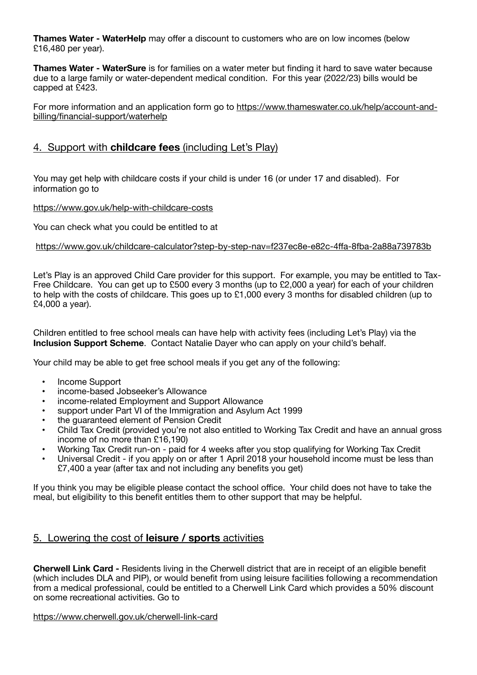**Thames Water - WaterHelp** may offer a discount to customers who are on low incomes (below £16,480 per year).

**Thames Water - WaterSure** is for families on a water meter but finding it hard to save water because due to a large family or water-dependent medical condition. For this year (2022/23) bills would be capped at £423.

For more information and an application form go to [https://www.thameswater.co.uk/help/account-and](https://www.thameswater.co.uk/help/account-and-billing/financial-support/waterhelp)[billing/financial-support/waterhelp](https://www.thameswater.co.uk/help/account-and-billing/financial-support/waterhelp)

## 4. Support with **childcare fees** (including Let's Play)

You may get help with childcare costs if your child is under 16 (or under 17 and disabled). For information go to

<https://www.gov.uk/help-with-childcare-costs>

You can check what you could be entitled to at

### [https://www.gov.uk/childcare-calculator?step-by-step-nav=f237ec8e-e82c-4](https://www.gov.uk/childcare-calculator?step-by-step-nav=f237ec8e-e82c-4ffa-8fba-2a88a739783b)ffa-8fba-2a88a739783b

Let's Play is an approved Child Care provider for this support. For example, you may be entitled to Tax-Free Childcare. You can get up to £500 every 3 months (up to £2,000 a year) for each of your children to help with the costs of childcare. This goes up to £1,000 every 3 months for disabled children (up to £4,000 a year).

Children entitled to free school meals can have help with activity fees (including Let's Play) via the **Inclusion Support Scheme**. Contact Natalie Dayer who can apply on your child's behalf.

Your child may be able to get free school meals if you get any of the following:

- Income Support
- income-based Jobseeker's Allowance
- income-related Employment and Support Allowance
- support under Part VI of the Immigration and Asylum Act 1999
- the guaranteed element of Pension Credit
- Child Tax Credit (provided you're not also entitled to Working Tax Credit and have an annual gross income of no more than £16,190)
- Working Tax Credit run-on paid for 4 weeks after you stop qualifying for Working Tax Credit
- Universal Credit if you apply on or after 1 April 2018 your household income must be less than £7,400 a year (after tax and not including any benefits you get)

If you think you may be eligible please contact the school office. Your child does not have to take the meal, but eligibility to this benefit entitles them to other support that may be helpful.

### 5. Lowering the cost of **leisure / sports** activities

**Cherwell Link Card -** Residents living in the Cherwell district that are in receipt of an eligible benefit (which includes DLA and PIP), or would benefit from using leisure facilities following a recommendation from a medical professional, could be entitled to a Cherwell Link Card which provides a 50% discount on some recreational activities. Go to

<https://www.cherwell.gov.uk/cherwell-link-card>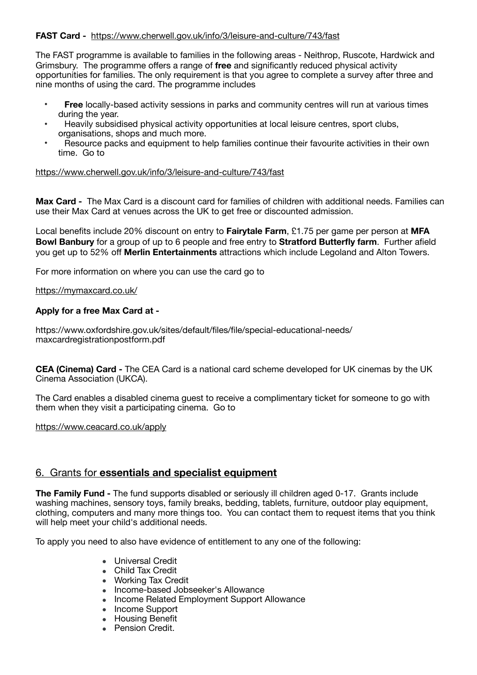### **FAST Card -** <https://www.cherwell.gov.uk/info/3/leisure-and-culture/743/fast>

The FAST programme is available to families in the following areas - Neithrop, Ruscote, Hardwick and Grimsbury. The programme offers a range of **free** and significantly reduced physical activity opportunities for families. The only requirement is that you agree to complete a survey after three and nine months of using the card. The programme includes

- **Free** locally-based activity sessions in parks and community centres will run at various times during the year.
- Heavily subsidised physical activity opportunities at local leisure centres, sport clubs, organisations, shops and much more.
- Resource packs and equipment to help families continue their favourite activities in their own time. Go to

### <https://www.cherwell.gov.uk/info/3/leisure-and-culture/743/fast>

**Max Card -** The Max Card is a discount card for families of children with additional needs. Families can use their Max Card at venues across the UK to get free or discounted admission.

Local benefits include 20% discount on entry to **Fairytale Farm**, £1.75 per game per person at **MFA Bowl Banbury** for a group of up to 6 people and free entry to **Stratford Butterfly farm**. Further afield you get up to 52% off **Merlin Entertainments** attractions which include Legoland and Alton Towers.

For more information on where you can use the card go to

<https://mymaxcard.co.uk/>

### **Apply for a free Max Card at -**

https://www.oxfordshire.gov.uk/sites/default/files/file/special-educational-needs/ maxcardregistrationpostform.pdf

**CEA (Cinema) Card -** The CEA Card is a national card scheme developed for UK cinemas by the UK Cinema Association (UKCA).

The Card enables a disabled cinema guest to receive a complimentary ticket for someone to go with them when they visit a participating cinema. Go to

<https://www.ceacard.co.uk/apply>

### 6. Grants for **essentials and specialist equipment**

**The Family Fund -** The fund supports disabled or seriously ill children aged 0-17. Grants include washing machines, sensory toys, family breaks, bedding, tablets, furniture, outdoor play equipment, clothing, computers and many more things too. You can contact them to request items that you think will help meet your child's additional needs.

To apply you need to also have evidence of entitlement to any one of the following:

- Universal Credit
- Child Tax Credit
- Working Tax Credit
- Income-based Jobseeker's Allowance
- Income Related Employment Support Allowance
- Income Support
- Housing Benefit
- Pension Credit.